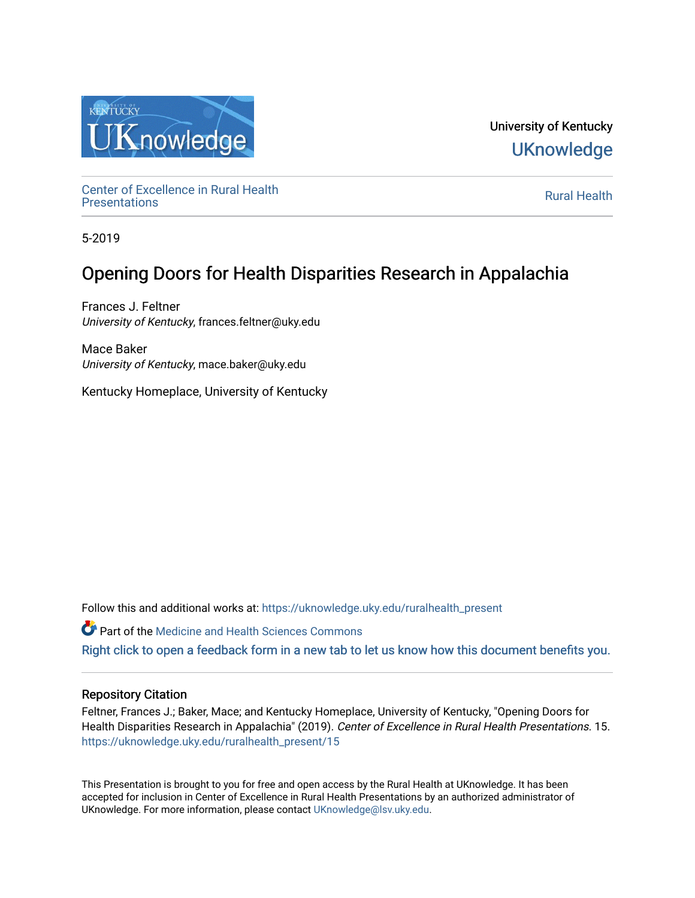

University of Kentucky **UKnowledge** 

Center of Excellence in Rural Health<br>Presentations Definer of Excellence in Kural Health<br>[Presentations](https://uknowledge.uky.edu/ruralhealth_present) **Rural Health** 

5-2019

### Opening Doors for Health Disparities Research in Appalachia

Frances J. Feltner University of Kentucky, frances.feltner@uky.edu

Mace Baker University of Kentucky, mace.baker@uky.edu

Kentucky Homeplace, University of Kentucky

Follow this and additional works at: [https://uknowledge.uky.edu/ruralhealth\\_present](https://uknowledge.uky.edu/ruralhealth_present?utm_source=uknowledge.uky.edu%2Fruralhealth_present%2F15&utm_medium=PDF&utm_campaign=PDFCoverPages) 

Part of the [Medicine and Health Sciences Commons](http://network.bepress.com/hgg/discipline/648?utm_source=uknowledge.uky.edu%2Fruralhealth_present%2F15&utm_medium=PDF&utm_campaign=PDFCoverPages) 

[Right click to open a feedback form in a new tab to let us know how this document benefits you.](https://uky.az1.qualtrics.com/jfe/form/SV_9mq8fx2GnONRfz7)

### Repository Citation

Feltner, Frances J.; Baker, Mace; and Kentucky Homeplace, University of Kentucky, "Opening Doors for Health Disparities Research in Appalachia" (2019). Center of Excellence in Rural Health Presentations. 15. [https://uknowledge.uky.edu/ruralhealth\\_present/15](https://uknowledge.uky.edu/ruralhealth_present/15?utm_source=uknowledge.uky.edu%2Fruralhealth_present%2F15&utm_medium=PDF&utm_campaign=PDFCoverPages)

This Presentation is brought to you for free and open access by the Rural Health at UKnowledge. It has been accepted for inclusion in Center of Excellence in Rural Health Presentations by an authorized administrator of UKnowledge. For more information, please contact [UKnowledge@lsv.uky.edu](mailto:UKnowledge@lsv.uky.edu).